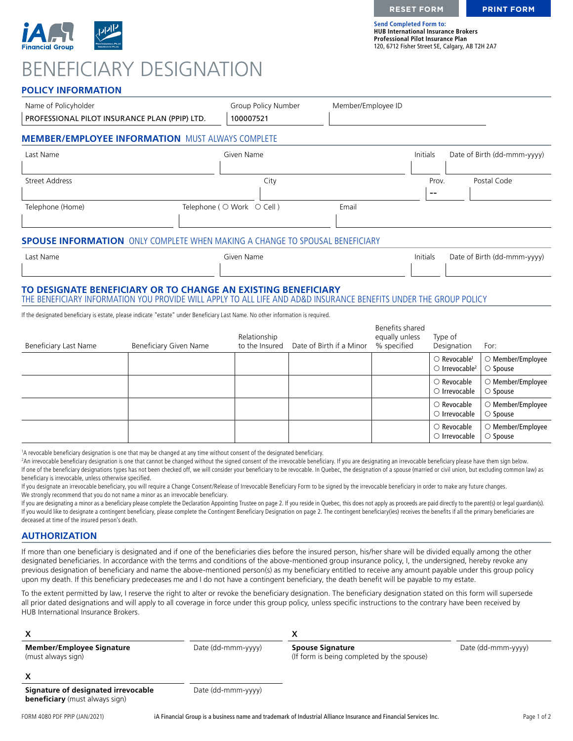

**Send Completed Form to: HUB International Insurance Brokers Professional Pilot Insurance Plan** 120, 6712 Fisher Street SE, Calgary, AB T2H 2A7

### **POLICY INFORMATION**

| Name of Policyholder                                                                                                                                                               |                               | Group Policy Number            | Member/Employee ID       |                                                  |                                                                          |                                              |
|------------------------------------------------------------------------------------------------------------------------------------------------------------------------------------|-------------------------------|--------------------------------|--------------------------|--------------------------------------------------|--------------------------------------------------------------------------|----------------------------------------------|
| PROFESSIONAL PILOT INSURANCE PLAN (PPIP) LTD.                                                                                                                                      |                               | 100007521                      |                          |                                                  |                                                                          |                                              |
| <b>MEMBER/EMPLOYEE INFORMATION MUST ALWAYS COMPLETE</b>                                                                                                                            |                               |                                |                          |                                                  |                                                                          |                                              |
| Last Name                                                                                                                                                                          |                               | Given Name                     |                          | Initials                                         |                                                                          | Date of Birth (dd-mmm-yyyy)                  |
| <b>Street Address</b>                                                                                                                                                              |                               | City                           |                          |                                                  | Prov.<br>--                                                              | Postal Code                                  |
| Telephone (Home)                                                                                                                                                                   |                               | Telephone ( ○ Work ○ Cell )    | Email                    |                                                  |                                                                          |                                              |
| <b>SPOUSE INFORMATION</b> ONLY COMPLETE WHEN MAKING A CHANGE TO SPOUSAL BENEFICIARY                                                                                                |                               |                                |                          |                                                  |                                                                          |                                              |
| Last Name                                                                                                                                                                          |                               | Given Name                     |                          | Initials                                         |                                                                          | Date of Birth (dd-mmm-yyyy)                  |
| TO DESIGNATE BENEFICIARY OR TO CHANGE AN EXISTING BENEFICIARY<br>THE BENEFICIARY INFORMATION YOU PROVIDE WILL APPLY TO ALL LIFE AND AD&D INSURANCE BENEFITS UNDER THE GROUP POLICY |                               |                                |                          |                                                  |                                                                          |                                              |
| If the designated beneficiary is estate, please indicate "estate" under Beneficiary Last Name. No other information is required.                                                   |                               |                                |                          |                                                  |                                                                          |                                              |
| <b>Beneficiary Last Name</b>                                                                                                                                                       | <b>Beneficiary Given Name</b> | Relationship<br>to the Insured | Date of Birth if a Minor | Benefits shared<br>equally unless<br>% specified | Type of<br>Designation                                                   | For:                                         |
|                                                                                                                                                                                    |                               |                                |                          |                                                  | $\bigcirc$ Revocable <sup>1</sup><br>$\bigcirc$ Irrevocable <sup>2</sup> | O Member/Employee<br>$\circ$ Spouse          |
|                                                                                                                                                                                    |                               |                                |                          |                                                  | $\bigcirc$ Revocable<br>$\circ$ Irrevocable                              | ○ Member/Employee<br>$\circ$ Spouse          |
|                                                                                                                                                                                    |                               |                                |                          |                                                  | $\bigcirc$ Revocable<br>$\circ$ Irrevocable                              | ○ Member/Employee<br>$\circ$ Spouse          |
|                                                                                                                                                                                    |                               |                                |                          |                                                  | $\bigcirc$ Revocable<br>$\circ$ Irrevocable                              | $\bigcirc$ Member/Employee<br>$\circ$ Spouse |

1 A revocable beneficiary designation is one that may be changed at any time without consent of the designated beneficiary.

<sup>2</sup>An irrevocable beneficiary designation is one that cannot be changed without the signed consent of the irrevocable beneficiary. If you are designating an irrevocable beneficiary please have them sign below. If one of the beneficiary designations types has not been checked off, we will consider your beneficiary to be revocable. In Quebec, the designation of a spouse (married or civil union, but excluding common law) as beneficiary is irrevocable, unless otherwise specified.

If you designate an irrevocable beneficiary, you will require a Change Consent/Release of Irrevocable Beneficiary Form to be signed by the irrevocable beneficiary in order to make any future changes. We strongly recommend that you do not name a minor as an irrevocable beneficiary.

If you are designating a minor as a beneficiary please complete the Declaration Appointing Trustee on page 2. If you reside in Quebec, this does not apply as proceeds are paid directly to the parent(s) or legal guardian(s) If you would like to designate a contingent beneficiary, please complete the Contingent Beneficiary Designation on page 2. The contingent beneficiary(ies) receives the benefits if all the primary beneficiaries are deceased at time of the insured person's death.

#### **AUTHORIZATION**

If more than one beneficiary is designated and if one of the beneficiaries dies before the insured person, his/her share will be divided equally among the other designated beneficiaries. In accordance with the terms and conditions of the above-mentioned group insurance policy, I, the undersigned, hereby revoke any previous designation of beneficiary and name the above-mentioned person(s) as my beneficiary entitled to receive any amount payable under this group policy upon my death. If this beneficiary predeceases me and I do not have a contingent beneficiary, the death benefit will be payable to my estate.

To the extent permitted by law, I reserve the right to alter or revoke the beneficiary designation. The beneficiary designation stated on this form will supersede all prior dated designations and will apply to all coverage in force under this group policy, unless specific instructions to the contrary have been received by HUB International Insurance Brokers.

| <b>Member/Employee Signature</b><br>(must always sign)                       | Date (dd-mmm-yyyy) | <b>Spouse Signature</b><br>(If form is being completed by the spouse) | Date (dd-mmm-yyyy) |
|------------------------------------------------------------------------------|--------------------|-----------------------------------------------------------------------|--------------------|
|                                                                              |                    |                                                                       |                    |
| Signature of designated irrevocable<br><b>beneficiary</b> (must always sign) | Date (dd-mmm-yyyy) |                                                                       |                    |